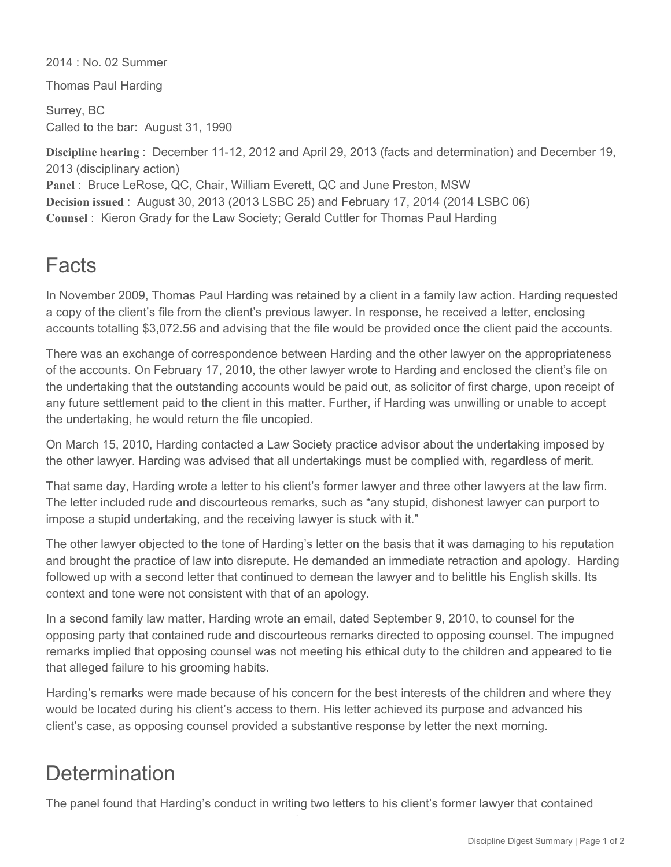2014 : No. 02 Summer

Thomas Paul Harding

Surrey, BC Called to the bar: August 31, 1990

**Discipline hearing** : December 11-12, 2012 and April 29, 2013 (facts and determination) and December 19, 2013 (disciplinary action)

**Panel** : Bruce LeRose, QC, Chair, William Everett, QC and June Preston, MSW **Decision issued** : August 30, 2013 (2013 LSBC 25) and February 17, 2014 (2014 LSBC 06) **Counsel** : Kieron Grady for the Law Society; Gerald Cuttler for Thomas Paul Harding

## Facts

In November 2009, Thomas Paul Harding was retained by a client in a family law action. Harding requested a copy of the client's file from the client's previous lawyer. In response, he received a letter, enclosing accounts totalling \$3,072.56 and advising that the file would be provided once the client paid the accounts.

There was an exchange of correspondence between Harding and the other lawyer on the appropriateness of the accounts. On February 17, 2010, the other lawyer wrote to Harding and enclosed the client's file on the undertaking that the outstanding accounts would be paid out, as solicitor of first charge, upon receipt of any future settlement paid to the client in this matter. Further, if Harding was unwilling or unable to accept the undertaking, he would return the file uncopied.

On March 15, 2010, Harding contacted a Law Society practice advisor about the undertaking imposed by the other lawyer. Harding was advised that all undertakings must be complied with, regardless of merit.

That same day, Harding wrote a letter to his client's former lawyer and three other lawyers at the law firm. The letter included rude and discourteous remarks, such as "any stupid, dishonest lawyer can purport to impose a stupid undertaking, and the receiving lawyer is stuck with it."

The other lawyer objected to the tone of Harding's letter on the basis that it was damaging to his reputation and brought the practice of law into disrepute. He demanded an immediate retraction and apology. Harding followed up with a second letter that continued to demean the lawyer and to belittle his English skills. Its context and tone were not consistent with that of an apology.

In a second family law matter, Harding wrote an email, dated September 9, 2010, to counsel for the opposing party that contained rude and discourteous remarks directed to opposing counsel. The impugned remarks implied that opposing counsel was not meeting his ethical duty to the children and appeared to tie that alleged failure to his grooming habits.

Harding's remarks were made because of his concern for the best interests of the children and where they would be located during his client's access to them. His letter achieved its purpose and advanced his client's case, as opposing counsel provided a substantive response by letter the next morning.

## **Determination**

The panel found that Harding's conduct in writing two letters to his client's former lawyer that contained

rude and discourteous remarks constituted professional misconduct.